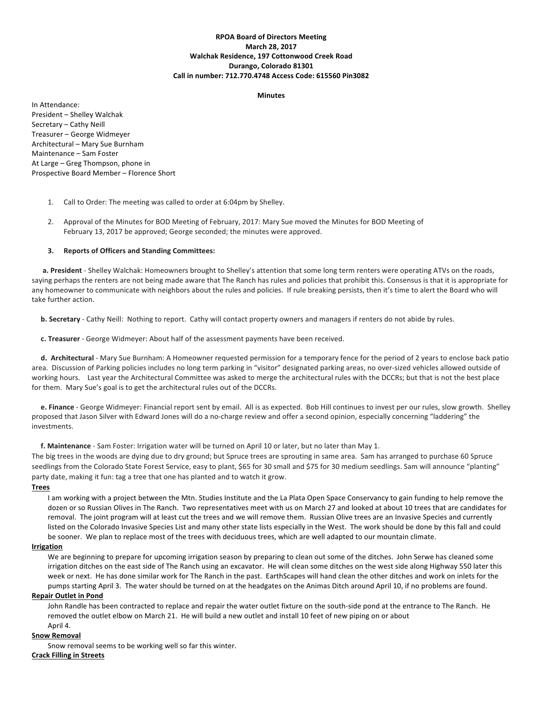# **RPOA Board of Directors Meeting March 28, 2017 Walchak Residence, 197 Cottonwood Creek Road Durango, Colorado 81301 Call in number: 712.770.4748 Access Code: 615560 Pin3082**

#### **Minutes**

In Attendance: President - Shelley Walchak Secretary - Cathy Neill Treasurer - George Widmeyer Architectural - Mary Sue Burnham Maintenance - Sam Foster At Large - Greg Thompson, phone in Prospective Board Member - Florence Short

1. Call to Order: The meeting was called to order at 6:04pm by Shelley.

2. Approval of the Minutes for BOD Meeting of February, 2017: Mary Sue moved the Minutes for BOD Meeting of February 13, 2017 be approved; George seconded; the minutes were approved.

### **3. Reports of Officers and Standing Committees:**

a. President - Shelley Walchak: Homeowners brought to Shelley's attention that some long term renters were operating ATVs on the roads, saying perhaps the renters are not being made aware that The Ranch has rules and policies that prohibit this. Consensus is that it is appropriate for any homeowner to communicate with neighbors about the rules and policies. If rule breaking persists, then it's time to alert the Board who will take further action.

**b. Secretary** - Cathy Neill: Nothing to report. Cathy will contact property owners and managers if renters do not abide by rules.

**c.** Treasurer - George Widmeyer: About half of the assessment payments have been received.

d. Architectural - Mary Sue Burnham: A Homeowner requested permission for a temporary fence for the period of 2 years to enclose back patio area. Discussion of Parking policies includes no long term parking in "visitor" designated parking areas, no over-sized vehicles allowed outside of working hours. Last year the Architectural Committee was asked to merge the architectural rules with the DCCRs; but that is not the best place for them. Mary Sue's goal is to get the architectural rules out of the DCCRs.

**e. Finance** - George Widmeyer: Financial report sent by email. All is as expected. Bob Hill continues to invest per our rules, slow growth. Shelley proposed that Jason Silver with Edward Jones will do a no-charge review and offer a second opinion, especially concerning "laddering" the investments. 

**f. Maintenance** - Sam Foster: Irrigation water will be turned on April 10 or later, but no later than May 1.

The big trees in the woods are dying due to dry ground; but Spruce trees are sprouting in same area. Sam has arranged to purchase 60 Spruce seedlings from the Colorado State Forest Service, easy to plant, \$65 for 30 small and \$75 for 30 medium seedlings. Sam will announce "planting" party date, making it fun: tag a tree that one has planted and to watch it grow.

### **Trees**

I am working with a project between the Mtn. Studies Institute and the La Plata Open Space Conservancy to gain funding to help remove the dozen or so Russian Olives in The Ranch. Two representatives meet with us on March 27 and looked at about 10 trees that are candidates for removal. The joint program will at least cut the trees and we will remove them. Russian Olive trees are an Invasive Species and currently listed on the Colorado Invasive Species List and many other state lists especially in the West. The work should be done by this fall and could be sooner. We plan to replace most of the trees with deciduous trees, which are well adapted to our mountain climate.

### **Irrigation**

We are beginning to prepare for upcoming irrigation season by preparing to clean out some of the ditches. John Serwe has cleaned some irrigation ditches on the east side of The Ranch using an excavator. He will clean some ditches on the west side along Highway 550 later this week or next. He has done similar work for The Ranch in the past. EarthScapes will hand clean the other ditches and work on inlets for the pumps starting April 3. The water should be turned on at the headgates on the Animas Ditch around April 10, if no problems are found.

### **Repair Outlet in Pond**

John Randle has been contracted to replace and repair the water outlet fixture on the south-side pond at the entrance to The Ranch. He removed the outlet elbow on March 21. He will build a new outlet and install 10 feet of new piping on or about April 4.

### **Snow Removal**

Snow removal seems to be working well so far this winter.

### **Crack Filling in Streets**